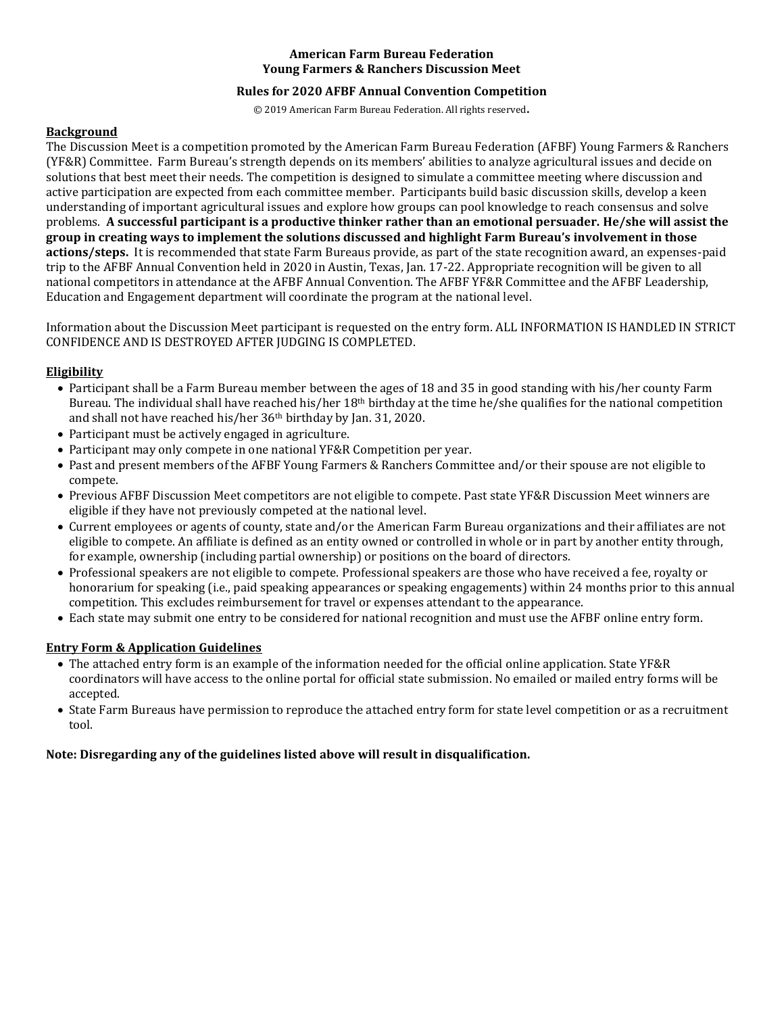### **American Farm Bureau Federation Young Farmers & Ranchers Discussion Meet**

## **Rules for 2020 AFBF Annual Convention Competition**

© 2019 American Farm Bureau Federation. All rights reserved.

#### **Background**

The Discussion Meet is a competition promoted by the American Farm Bureau Federation (AFBF) Young Farmers & Ranchers (YF&R) Committee. Farm Bureau's strength depends on its members' abilities to analyze agricultural issues and decide on solutions that best meet their needs. The competition is designed to simulate a committee meeting where discussion and active participation are expected from each committee member. Participants build basic discussion skills, develop a keen understanding of important agricultural issues and explore how groups can pool knowledge to reach consensus and solve problems. **A successful participant is a productive thinker rather than an emotional persuader. He/she will assist the group in creating ways to implement the solutions discussed and highlight Farm Bureau's involvement in those actions/steps.** It is recommended that state Farm Bureaus provide, as part of the state recognition award, an expenses-paid trip to the AFBF Annual Convention held in 2020 in Austin, Texas, Jan. 17-22. Appropriate recognition will be given to all national competitors in attendance at the AFBF Annual Convention. The AFBF YF&R Committee and the AFBF Leadership, Education and Engagement department will coordinate the program at the national level.

Information about the Discussion Meet participant is requested on the entry form. ALL INFORMATION IS HANDLED IN STRICT CONFIDENCE AND IS DESTROYED AFTER JUDGING IS COMPLETED.

### **Eligibility**

- Participant shall be a Farm Bureau member between the ages of 18 and 35 in good standing with his/her county Farm Bureau. The individual shall have reached his/her  $18<sup>th</sup>$  birthday at the time he/she qualifies for the national competition and shall not have reached his/her 36th birthday by Jan. 31, 2020.
- Participant must be actively engaged in agriculture.
- Participant may only compete in one national YF&R Competition per year.
- Past and present members of the AFBF Young Farmers & Ranchers Committee and/or their spouse are not eligible to compete.
- Previous AFBF Discussion Meet competitors are not eligible to compete. Past state YF&R Discussion Meet winners are eligible if they have not previously competed at the national level.
- Current employees or agents of county, state and/or the American Farm Bureau organizations and their affiliates are not eligible to compete. An affiliate is defined as an entity owned or controlled in whole or in part by another entity through, for example, ownership (including partial ownership) or positions on the board of directors.
- Professional speakers are not eligible to compete. Professional speakers are those who have received a fee, royalty or honorarium for speaking (i.e., paid speaking appearances or speaking engagements) within 24 months prior to this annual competition. This excludes reimbursement for travel or expenses attendant to the appearance.
- Each state may submit one entry to be considered for national recognition and must use the AFBF online entry form.

## **Entry Form & Application Guidelines**

- The attached entry form is an example of the information needed for the official online application. State YF&R coordinators will have access to the online portal for official state submission. No emailed or mailed entry forms will be accepted.
- State Farm Bureaus have permission to reproduce the attached entry form for state level competition or as a recruitment tool.

### **Note: Disregarding any of the guidelines listed above will result in disqualification.**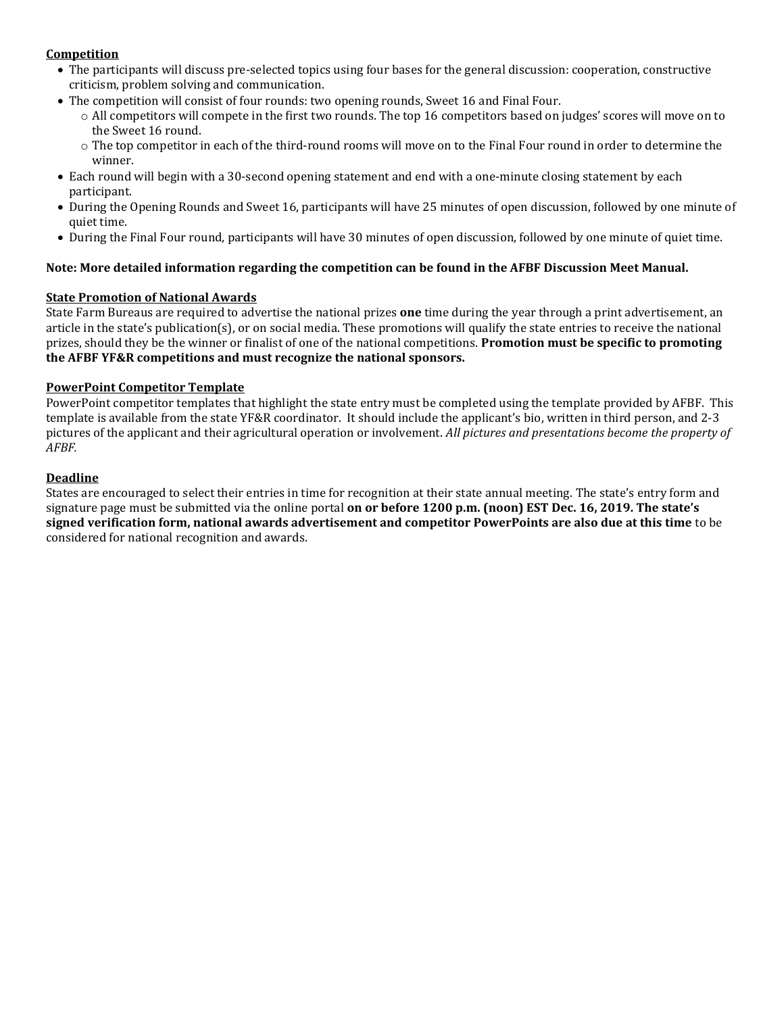## **Competition**

- The participants will discuss pre-selected topics using four bases for the general discussion: cooperation, constructive criticism, problem solving and communication.
- The competition will consist of four rounds: two opening rounds, Sweet 16 and Final Four.
	- o All competitors will compete in the first two rounds. The top 16 competitors based on judges' scores will move on to the Sweet 16 round.
	- o The top competitor in each of the third-round rooms will move on to the Final Four round in order to determine the winner.
- Each round will begin with a 30-second opening statement and end with a one-minute closing statement by each participant.
- During the Opening Rounds and Sweet 16, participants will have 25 minutes of open discussion, followed by one minute of quiet time.
- During the Final Four round, participants will have 30 minutes of open discussion, followed by one minute of quiet time.

## **Note: More detailed information regarding the competition can be found in the AFBF Discussion Meet Manual.**

## **State Promotion of National Awards**

State Farm Bureaus are required to advertise the national prizes **one** time during the year through a print advertisement, an article in the state's publication(s), or on social media. These promotions will qualify the state entries to receive the national prizes, should they be the winner or finalist of one of the national competitions. **Promotion must be specific to promoting the AFBF YF&R competitions and must recognize the national sponsors.**

## **PowerPoint Competitor Template**

PowerPoint competitor templates that highlight the state entry must be completed using the template provided by AFBF. This template is available from the state YF&R coordinator. It should include the applicant's bio, written in third person, and 2-3 pictures of the applicant and their agricultural operation or involvement. *All pictures and presentations become the property of AFBF.*

## **Deadline**

States are encouraged to select their entries in time for recognition at their state annual meeting. The state's entry form and signature page must be submitted via the online portal **on or before 1200 p.m. (noon) EST Dec. 16, 2019. The state's signed verification form, national awards advertisement and competitor PowerPoints are also due at this time** to be considered for national recognition and awards.